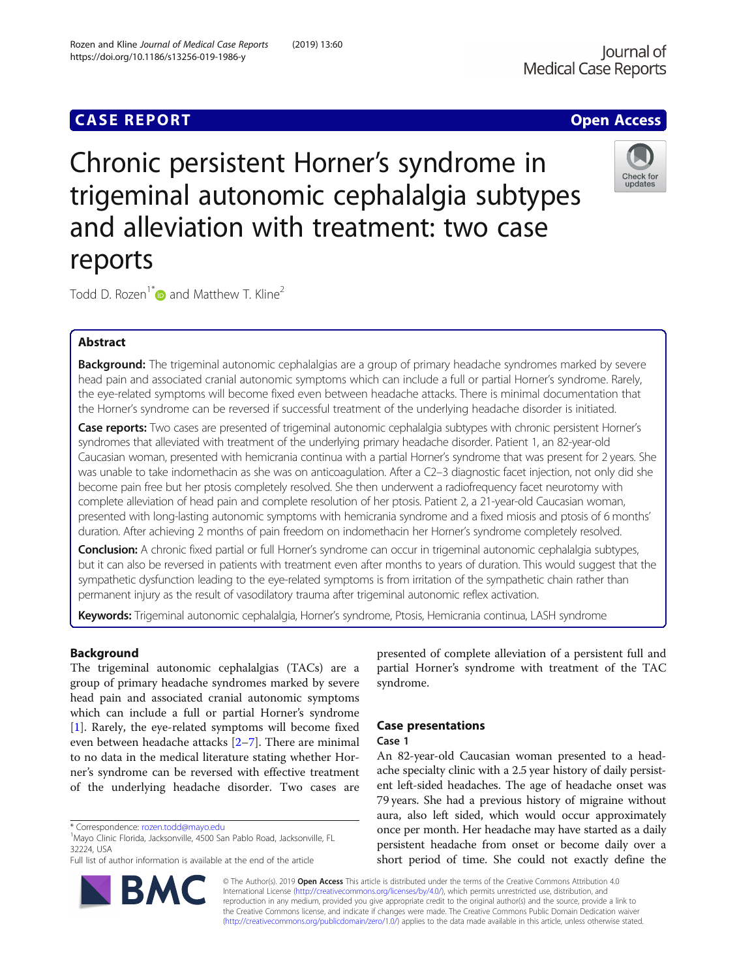# **CASE REPORT CASE ACCESS**

# Chronic persistent Horner's syndrome in trigeminal autonomic cephalalgia subtypes and alleviation with treatment: two case reports

Todd D. Rozen<sup>1</sup><sup>[\\*](http://orcid.org/0000-0002-1404-9919)</sup> and Matthew T. Kline<sup>2</sup>

# Abstract

Background: The trigeminal autonomic cephalalgias are a group of primary headache syndromes marked by severe head pain and associated cranial autonomic symptoms which can include a full or partial Horner's syndrome. Rarely, the eye-related symptoms will become fixed even between headache attacks. There is minimal documentation that the Horner's syndrome can be reversed if successful treatment of the underlying headache disorder is initiated.

Case reports: Two cases are presented of trigeminal autonomic cephalalgia subtypes with chronic persistent Horner's syndromes that alleviated with treatment of the underlying primary headache disorder. Patient 1, an 82-year-old Caucasian woman, presented with hemicrania continua with a partial Horner's syndrome that was present for 2 years. She was unable to take indomethacin as she was on anticoagulation. After a C2–3 diagnostic facet injection, not only did she become pain free but her ptosis completely resolved. She then underwent a radiofrequency facet neurotomy with complete alleviation of head pain and complete resolution of her ptosis. Patient 2, a 21-year-old Caucasian woman, presented with long-lasting autonomic symptoms with hemicrania syndrome and a fixed miosis and ptosis of 6 months' duration. After achieving 2 months of pain freedom on indomethacin her Horner's syndrome completely resolved.

**Conclusion:** A chronic fixed partial or full Horner's syndrome can occur in trigeminal autonomic cephalalgia subtypes, but it can also be reversed in patients with treatment even after months to years of duration. This would suggest that the sympathetic dysfunction leading to the eye-related symptoms is from irritation of the sympathetic chain rather than permanent injury as the result of vasodilatory trauma after trigeminal autonomic reflex activation.

Keywords: Trigeminal autonomic cephalalgia, Horner's syndrome, Ptosis, Hemicrania continua, LASH syndrome

## Background

The trigeminal autonomic cephalalgias (TACs) are a group of primary headache syndromes marked by severe head pain and associated cranial autonomic symptoms which can include a full or partial Horner's syndrome [[1\]](#page-3-0). Rarely, the eye-related symptoms will become fixed even between headache attacks [\[2](#page-3-0)–[7\]](#page-4-0). There are minimal to no data in the medical literature stating whether Horner's syndrome can be reversed with effective treatment of the underlying headache disorder. Two cases are

\* Correspondence: [rozen.todd@mayo.edu](mailto:rozen.todd@mayo.edu) <sup>1</sup>

<sup>1</sup>Mayo Clinic Florida, Jacksonville, 4500 San Pablo Road, Jacksonville, FL 32224, USA

Full list of author information is available at the end of the article

presented of complete alleviation of a persistent full and partial Horner's syndrome with treatment of the TAC syndrome.

## Case presentations

## Case 1

An 82-year-old Caucasian woman presented to a headache specialty clinic with a 2.5 year history of daily persistent left-sided headaches. The age of headache onset was 79 years. She had a previous history of migraine without aura, also left sided, which would occur approximately once per month. Her headache may have started as a daily persistent headache from onset or become daily over a short period of time. She could not exactly define the

© The Author(s). 2019 Open Access This article is distributed under the terms of the Creative Commons Attribution 4.0 International License [\(http://creativecommons.org/licenses/by/4.0/](http://creativecommons.org/licenses/by/4.0/)), which permits unrestricted use, distribution, and reproduction in any medium, provided you give appropriate credit to the original author(s) and the source, provide a link to the Creative Commons license, and indicate if changes were made. The Creative Commons Public Domain Dedication waiver [\(http://creativecommons.org/publicdomain/zero/1.0/](http://creativecommons.org/publicdomain/zero/1.0/)) applies to the data made available in this article, unless otherwise stated.



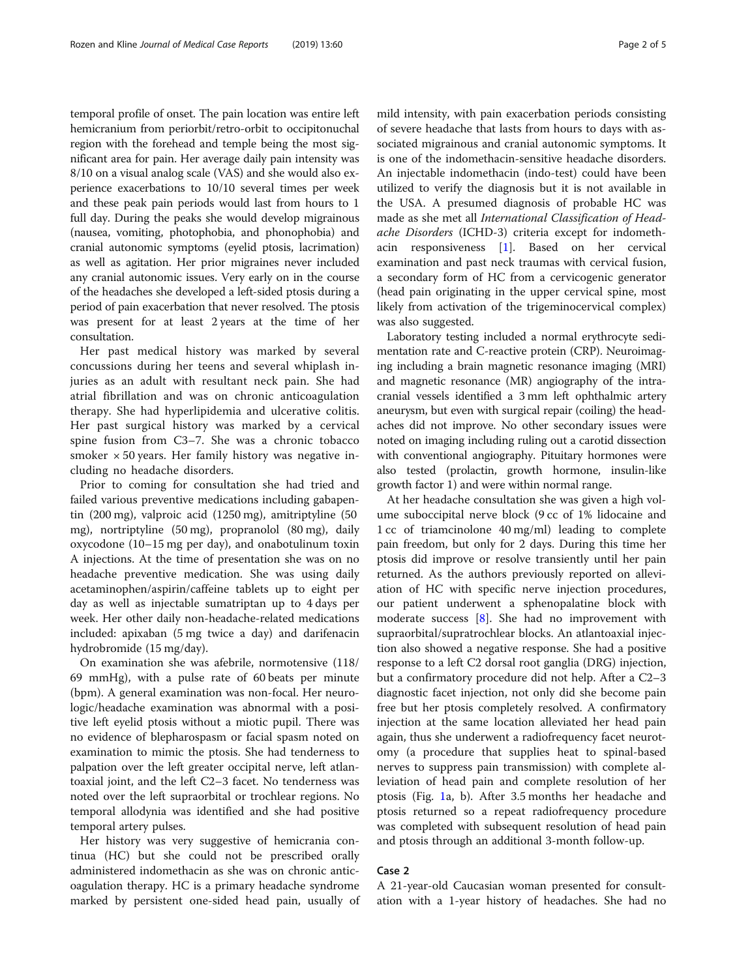temporal profile of onset. The pain location was entire left hemicranium from periorbit/retro-orbit to occipitonuchal region with the forehead and temple being the most significant area for pain. Her average daily pain intensity was 8/10 on a visual analog scale (VAS) and she would also experience exacerbations to 10/10 several times per week and these peak pain periods would last from hours to 1 full day. During the peaks she would develop migrainous (nausea, vomiting, photophobia, and phonophobia) and cranial autonomic symptoms (eyelid ptosis, lacrimation) as well as agitation. Her prior migraines never included any cranial autonomic issues. Very early on in the course of the headaches she developed a left-sided ptosis during a period of pain exacerbation that never resolved. The ptosis was present for at least 2 years at the time of her consultation.

Her past medical history was marked by several concussions during her teens and several whiplash injuries as an adult with resultant neck pain. She had atrial fibrillation and was on chronic anticoagulation therapy. She had hyperlipidemia and ulcerative colitis. Her past surgical history was marked by a cervical spine fusion from C3–7. She was a chronic tobacco smoker  $\times$  50 years. Her family history was negative including no headache disorders.

Prior to coming for consultation she had tried and failed various preventive medications including gabapentin (200 mg), valproic acid (1250 mg), amitriptyline (50 mg), nortriptyline (50 mg), propranolol (80 mg), daily oxycodone (10–15 mg per day), and onabotulinum toxin A injections. At the time of presentation she was on no headache preventive medication. She was using daily acetaminophen/aspirin/caffeine tablets up to eight per day as well as injectable sumatriptan up to 4 days per week. Her other daily non-headache-related medications included: apixaban (5 mg twice a day) and darifenacin hydrobromide (15 mg/day).

On examination she was afebrile, normotensive (118/ 69 mmHg), with a pulse rate of 60 beats per minute (bpm). A general examination was non-focal. Her neurologic/headache examination was abnormal with a positive left eyelid ptosis without a miotic pupil. There was no evidence of blepharospasm or facial spasm noted on examination to mimic the ptosis. She had tenderness to palpation over the left greater occipital nerve, left atlantoaxial joint, and the left C2–3 facet. No tenderness was noted over the left supraorbital or trochlear regions. No temporal allodynia was identified and she had positive temporal artery pulses.

Her history was very suggestive of hemicrania continua (HC) but she could not be prescribed orally administered indomethacin as she was on chronic anticoagulation therapy. HC is a primary headache syndrome marked by persistent one-sided head pain, usually of mild intensity, with pain exacerbation periods consisting of severe headache that lasts from hours to days with associated migrainous and cranial autonomic symptoms. It is one of the indomethacin-sensitive headache disorders. An injectable indomethacin (indo-test) could have been utilized to verify the diagnosis but it is not available in the USA. A presumed diagnosis of probable HC was made as she met all International Classification of Headache Disorders (ICHD-3) criteria except for indomethacin responsiveness [\[1](#page-3-0)]. Based on her cervical examination and past neck traumas with cervical fusion, a secondary form of HC from a cervicogenic generator (head pain originating in the upper cervical spine, most likely from activation of the trigeminocervical complex) was also suggested.

Laboratory testing included a normal erythrocyte sedimentation rate and C-reactive protein (CRP). Neuroimaging including a brain magnetic resonance imaging (MRI) and magnetic resonance (MR) angiography of the intracranial vessels identified a 3 mm left ophthalmic artery aneurysm, but even with surgical repair (coiling) the headaches did not improve. No other secondary issues were noted on imaging including ruling out a carotid dissection with conventional angiography. Pituitary hormones were also tested (prolactin, growth hormone, insulin-like growth factor 1) and were within normal range.

At her headache consultation she was given a high volume suboccipital nerve block (9 cc of 1% lidocaine and 1 cc of triamcinolone 40 mg/ml) leading to complete pain freedom, but only for 2 days. During this time her ptosis did improve or resolve transiently until her pain returned. As the authors previously reported on alleviation of HC with specific nerve injection procedures, our patient underwent a sphenopalatine block with moderate success  $[8]$  $[8]$ . She had no improvement with supraorbital/supratrochlear blocks. An atlantoaxial injection also showed a negative response. She had a positive response to a left C2 dorsal root ganglia (DRG) injection, but a confirmatory procedure did not help. After a C2–3 diagnostic facet injection, not only did she become pain free but her ptosis completely resolved. A confirmatory injection at the same location alleviated her head pain again, thus she underwent a radiofrequency facet neurotomy (a procedure that supplies heat to spinal-based nerves to suppress pain transmission) with complete alleviation of head pain and complete resolution of her ptosis (Fig. [1a](#page-2-0), b). After 3.5 months her headache and ptosis returned so a repeat radiofrequency procedure was completed with subsequent resolution of head pain and ptosis through an additional 3-month follow-up.

## Case 2

A 21-year-old Caucasian woman presented for consultation with a 1-year history of headaches. She had no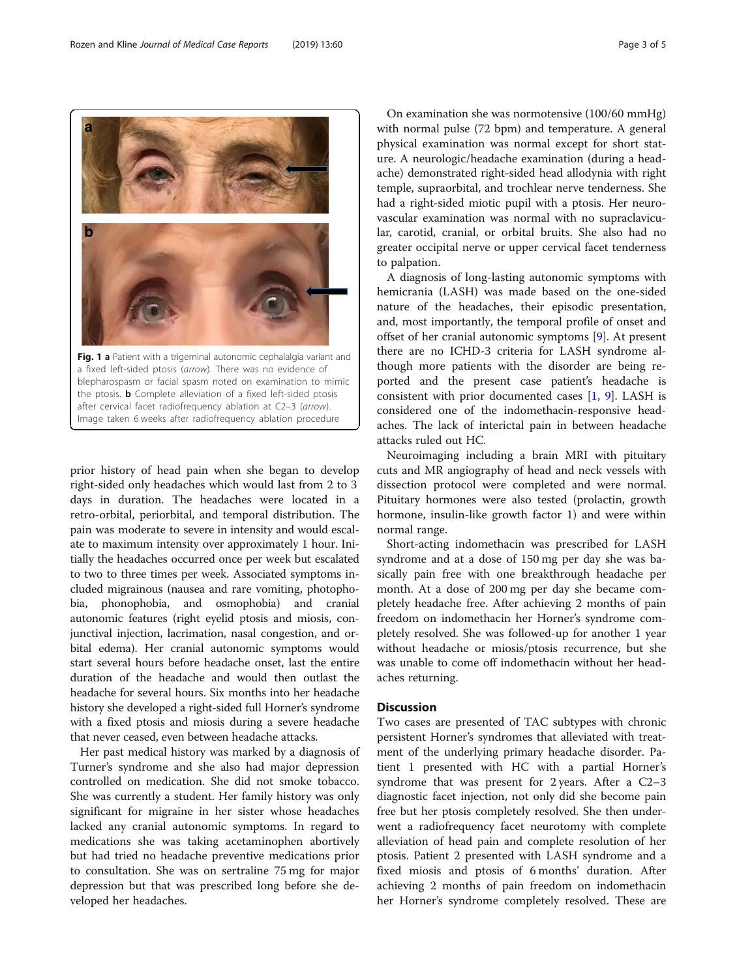prior history of head pain when she began to develop right-sided only headaches which would last from 2 to 3 days in duration. The headaches were located in a retro-orbital, periorbital, and temporal distribution. The pain was moderate to severe in intensity and would escalate to maximum intensity over approximately 1 hour. Initially the headaches occurred once per week but escalated to two to three times per week. Associated symptoms included migrainous (nausea and rare vomiting, photophobia, phonophobia, and osmophobia) and cranial autonomic features (right eyelid ptosis and miosis, conjunctival injection, lacrimation, nasal congestion, and orbital edema). Her cranial autonomic symptoms would start several hours before headache onset, last the entire duration of the headache and would then outlast the headache for several hours. Six months into her headache history she developed a right-sided full Horner's syndrome with a fixed ptosis and miosis during a severe headache

Her past medical history was marked by a diagnosis of Turner's syndrome and she also had major depression controlled on medication. She did not smoke tobacco. She was currently a student. Her family history was only significant for migraine in her sister whose headaches lacked any cranial autonomic symptoms. In regard to medications she was taking acetaminophen abortively but had tried no headache preventive medications prior to consultation. She was on sertraline 75 mg for major depression but that was prescribed long before she developed her headaches.

that never ceased, even between headache attacks.

On examination she was normotensive (100/60 mmHg) with normal pulse (72 bpm) and temperature. A general physical examination was normal except for short stature. A neurologic/headache examination (during a headache) demonstrated right-sided head allodynia with right temple, supraorbital, and trochlear nerve tenderness. She had a right-sided miotic pupil with a ptosis. Her neurovascular examination was normal with no supraclavicular, carotid, cranial, or orbital bruits. She also had no greater occipital nerve or upper cervical facet tenderness to palpation.

A diagnosis of long-lasting autonomic symptoms with hemicrania (LASH) was made based on the one-sided nature of the headaches, their episodic presentation, and, most importantly, the temporal profile of onset and offset of her cranial autonomic symptoms [\[9](#page-4-0)]. At present there are no ICHD-3 criteria for LASH syndrome although more patients with the disorder are being reported and the present case patient's headache is consistent with prior documented cases [\[1,](#page-3-0) [9\]](#page-4-0). LASH is considered one of the indomethacin-responsive headaches. The lack of interictal pain in between headache attacks ruled out HC.

Neuroimaging including a brain MRI with pituitary cuts and MR angiography of head and neck vessels with dissection protocol were completed and were normal. Pituitary hormones were also tested (prolactin, growth hormone, insulin-like growth factor 1) and were within normal range.

Short-acting indomethacin was prescribed for LASH syndrome and at a dose of 150 mg per day she was basically pain free with one breakthrough headache per month. At a dose of 200 mg per day she became completely headache free. After achieving 2 months of pain freedom on indomethacin her Horner's syndrome completely resolved. She was followed-up for another 1 year without headache or miosis/ptosis recurrence, but she was unable to come off indomethacin without her headaches returning.

## **Discussion**

Two cases are presented of TAC subtypes with chronic persistent Horner's syndromes that alleviated with treatment of the underlying primary headache disorder. Patient 1 presented with HC with a partial Horner's syndrome that was present for 2 years. After a C2–3 diagnostic facet injection, not only did she become pain free but her ptosis completely resolved. She then underwent a radiofrequency facet neurotomy with complete alleviation of head pain and complete resolution of her ptosis. Patient 2 presented with LASH syndrome and a fixed miosis and ptosis of 6 months' duration. After achieving 2 months of pain freedom on indomethacin her Horner's syndrome completely resolved. These are



<span id="page-2-0"></span>**a**

**b**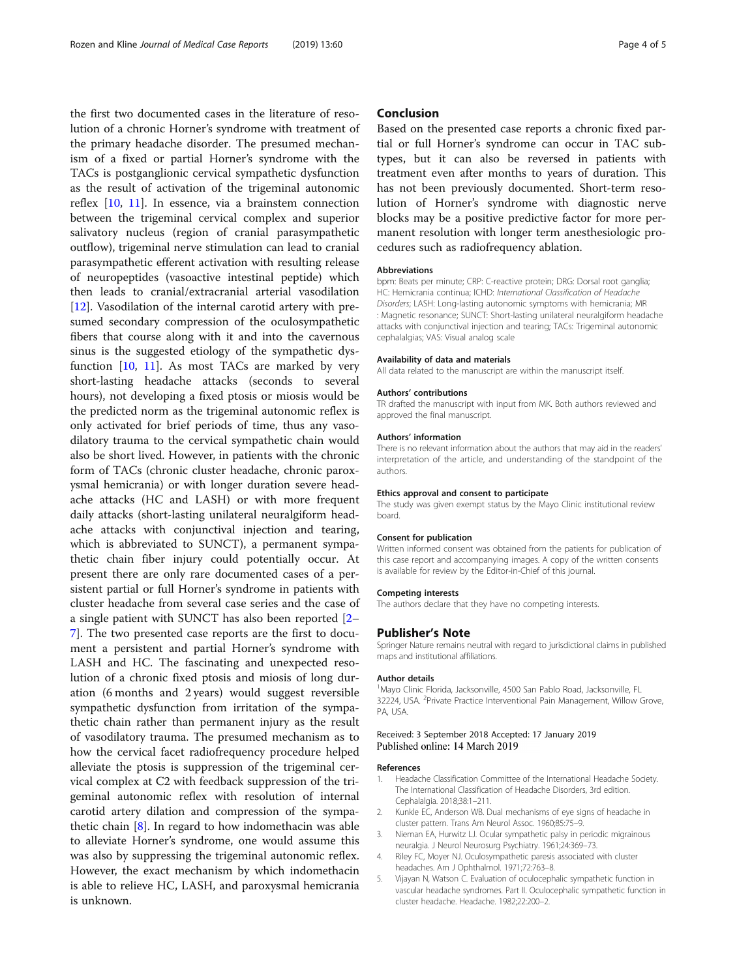<span id="page-3-0"></span>the first two documented cases in the literature of resolution of a chronic Horner's syndrome with treatment of the primary headache disorder. The presumed mechanism of a fixed or partial Horner's syndrome with the TACs is postganglionic cervical sympathetic dysfunction as the result of activation of the trigeminal autonomic reflex [\[10](#page-4-0), [11\]](#page-4-0). In essence, via a brainstem connection between the trigeminal cervical complex and superior salivatory nucleus (region of cranial parasympathetic outflow), trigeminal nerve stimulation can lead to cranial parasympathetic efferent activation with resulting release of neuropeptides (vasoactive intestinal peptide) which then leads to cranial/extracranial arterial vasodilation [[12\]](#page-4-0). Vasodilation of the internal carotid artery with presumed secondary compression of the oculosympathetic fibers that course along with it and into the cavernous sinus is the suggested etiology of the sympathetic dysfunction  $[10, 11]$  $[10, 11]$  $[10, 11]$ . As most TACs are marked by very short-lasting headache attacks (seconds to several hours), not developing a fixed ptosis or miosis would be the predicted norm as the trigeminal autonomic reflex is only activated for brief periods of time, thus any vasodilatory trauma to the cervical sympathetic chain would also be short lived. However, in patients with the chronic form of TACs (chronic cluster headache, chronic paroxysmal hemicrania) or with longer duration severe headache attacks (HC and LASH) or with more frequent daily attacks (short-lasting unilateral neuralgiform headache attacks with conjunctival injection and tearing, which is abbreviated to SUNCT), a permanent sympathetic chain fiber injury could potentially occur. At present there are only rare documented cases of a persistent partial or full Horner's syndrome in patients with cluster headache from several case series and the case of a single patient with SUNCT has also been reported [2– [7\]](#page-4-0). The two presented case reports are the first to document a persistent and partial Horner's syndrome with LASH and HC. The fascinating and unexpected resolution of a chronic fixed ptosis and miosis of long duration (6 months and 2 years) would suggest reversible sympathetic dysfunction from irritation of the sympathetic chain rather than permanent injury as the result of vasodilatory trauma. The presumed mechanism as to how the cervical facet radiofrequency procedure helped alleviate the ptosis is suppression of the trigeminal cervical complex at C2 with feedback suppression of the trigeminal autonomic reflex with resolution of internal carotid artery dilation and compression of the sympathetic chain  $[8]$  $[8]$ . In regard to how indomethacin was able to alleviate Horner's syndrome, one would assume this was also by suppressing the trigeminal autonomic reflex. However, the exact mechanism by which indomethacin is able to relieve HC, LASH, and paroxysmal hemicrania is unknown.

### Conclusion

Based on the presented case reports a chronic fixed partial or full Horner's syndrome can occur in TAC subtypes, but it can also be reversed in patients with treatment even after months to years of duration. This has not been previously documented. Short-term resolution of Horner's syndrome with diagnostic nerve blocks may be a positive predictive factor for more permanent resolution with longer term anesthesiologic procedures such as radiofrequency ablation.

#### Abbreviations

bpm: Beats per minute; CRP: C-reactive protein; DRG: Dorsal root ganglia; HC: Hemicrania continua; ICHD: International Classification of Headache Disorders; LASH: Long-lasting autonomic symptoms with hemicrania; MR : Magnetic resonance; SUNCT: Short-lasting unilateral neuralgiform headache attacks with conjunctival injection and tearing; TACs: Trigeminal autonomic cephalalgias; VAS: Visual analog scale

#### Availability of data and materials

All data related to the manuscript are within the manuscript itself.

#### Authors' contributions

TR drafted the manuscript with input from MK. Both authors reviewed and approved the final manuscript.

#### Authors' information

There is no relevant information about the authors that may aid in the readers' interpretation of the article, and understanding of the standpoint of the authors.

#### Ethics approval and consent to participate

The study was given exempt status by the Mayo Clinic institutional review board.

#### Consent for publication

Written informed consent was obtained from the patients for publication of this case report and accompanying images. A copy of the written consents is available for review by the Editor-in-Chief of this journal.

#### Competing interests

The authors declare that they have no competing interests.

#### Publisher's Note

Springer Nature remains neutral with regard to jurisdictional claims in published maps and institutional affiliations.

#### Author details

<sup>1</sup>Mayo Clinic Florida, Jacksonville, 4500 San Pablo Road, Jacksonville, FL 32224, USA. <sup>2</sup>Private Practice Interventional Pain Management, Willow Grove PA, USA.

#### Received: 3 September 2018 Accepted: 17 January 2019 Published online: 14 March 2019

#### References

- 1. Headache Classification Committee of the International Headache Society. The International Classification of Headache Disorders, 3rd edition. Cephalalgia. 2018;38:1–211.
- 2. Kunkle EC, Anderson WB. Dual mechanisms of eye signs of headache in cluster pattern. Trans Am Neurol Assoc. 1960;85:75–9.
- 3. Nieman EA, Hurwitz LJ. Ocular sympathetic palsy in periodic migrainous neuralgia. J Neurol Neurosurg Psychiatry. 1961;24:369–73.
- 4. Riley FC, Moyer NJ. Oculosympathetic paresis associated with cluster headaches. Am J Ophthalmol. 1971;72:763–8.
- 5. Vijayan N, Watson C. Evaluation of oculocephalic sympathetic function in vascular headache syndromes. Part II. Oculocephalic sympathetic function in cluster headache. Headache. 1982;22:200–2.